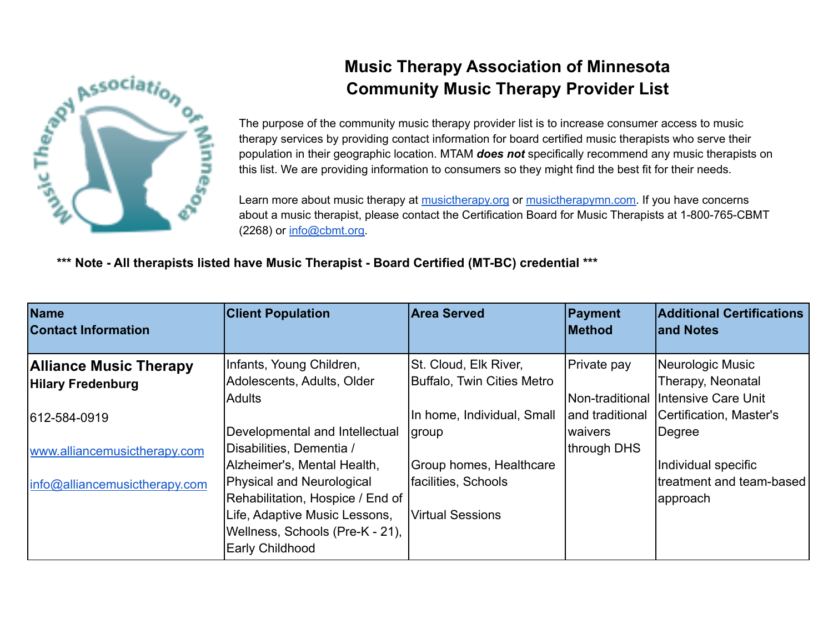

## **Music Therapy Association of Minnesota Community Music Therapy Provider List**

The purpose of the community music therapy provider list is to increase consumer access to music therapy services by providing contact information for board certified music therapists who serve their population in their geographic location. MTAM *does not* specifically recommend any music therapists on this list. We are providing information to consumers so they might find the best fit for their needs.

Learn more about music therapy at [musictherapy.org](https://www.musictherapy.org/) or [musictherapymn.com.](http://musictherapymn.com/) If you have concerns about a music therapist, please contact the Certification Board for Music Therapists at 1-800-765-CBMT (2268) or [info@cbmt.org.](mailto:info@cbmt.org)

## **\*\*\* Note - All therapists listed have Music Therapist - Board Certified (MT-BC) credential \*\*\***

| <b>Name</b><br><b>Contact Information</b> | <b>Client Population</b>         | <b>Area Served</b>                | Payment<br><b>Method</b> | <b>Additional Certifications</b><br>land Notes |
|-------------------------------------------|----------------------------------|-----------------------------------|--------------------------|------------------------------------------------|
| <b>Alliance Music Therapy</b>             | Infants, Young Children,         | St. Cloud, Elk River,             | Private pay              | Neurologic Music                               |
| <b>Hilary Fredenburg</b>                  | Adolescents, Adults, Older       | <b>Buffalo, Twin Cities Metro</b> |                          | Therapy, Neonatal                              |
|                                           | Adults                           |                                   |                          | Non-traditional IIntensive Care Unit           |
| 612-584-0919                              |                                  | In home, Individual, Small        | and traditional          | Certification, Master's                        |
|                                           | Developmental and Intellectual   | <i>group</i>                      | waivers                  | Degree                                         |
| www.alliancemusictherapy.com              | Disabilities, Dementia /         |                                   | through DHS              |                                                |
|                                           | Alzheimer's, Mental Health,      | Group homes, Healthcare           |                          | Individual specific                            |
| info@alliancemusictherapy.com             | Physical and Neurological        | facilities, Schools               |                          | treatment and team-based                       |
|                                           | Rehabilitation, Hospice / End of |                                   |                          | approach                                       |
|                                           | Life, Adaptive Music Lessons,    | <b>Virtual Sessions</b>           |                          |                                                |
|                                           | Wellness, Schools (Pre-K - 21),  |                                   |                          |                                                |
|                                           | <b>Early Childhood</b>           |                                   |                          |                                                |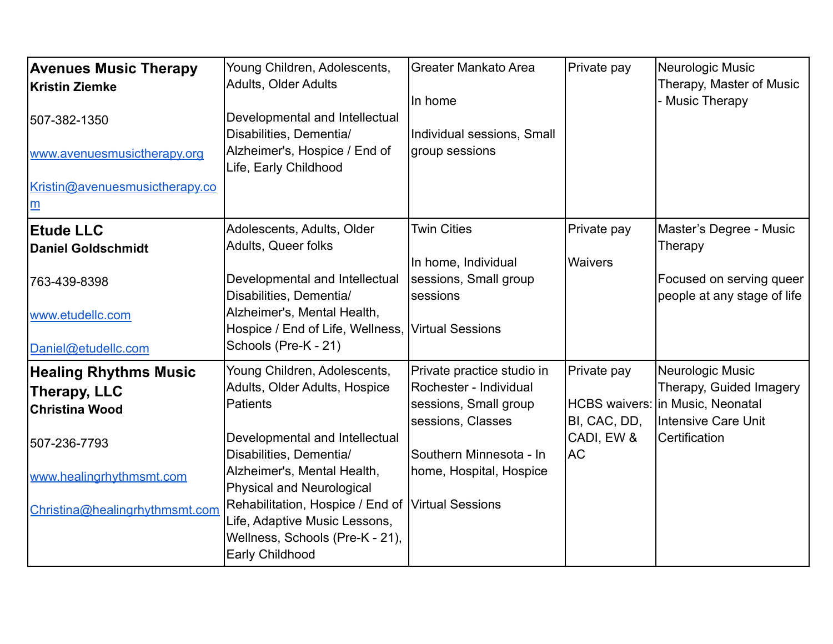| <b>Avenues Music Therapy</b><br><b>Kristin Ziemke</b><br>507-382-1350<br>www.avenuesmusictherapy.org<br>Kristin@avenuesmusictherapy.co<br>m         | Young Children, Adolescents,<br><b>Adults, Older Adults</b><br>Developmental and Intellectual<br>Disabilities, Dementia/<br>Alzheimer's, Hospice / End of<br>Life, Early Childhood                                                                                                                                                   | <b>Greater Mankato Area</b><br>In home<br>Individual sessions, Small<br>group sessions                                                                                       | Private pay                                     | Neurologic Music<br>Therapy, Master of Music<br><b>Music Therapy</b>                                                             |
|-----------------------------------------------------------------------------------------------------------------------------------------------------|--------------------------------------------------------------------------------------------------------------------------------------------------------------------------------------------------------------------------------------------------------------------------------------------------------------------------------------|------------------------------------------------------------------------------------------------------------------------------------------------------------------------------|-------------------------------------------------|----------------------------------------------------------------------------------------------------------------------------------|
| <b>Etude LLC</b><br><b>Daniel Goldschmidt</b><br>763-439-8398<br>www.etudellc.com<br>Daniel@etudellc.com                                            | Adolescents, Adults, Older<br>Adults, Queer folks<br>Developmental and Intellectual<br>Disabilities, Dementia/<br>Alzheimer's, Mental Health,<br>Hospice / End of Life, Wellness,<br>Schools (Pre-K - 21)                                                                                                                            | <b>Twin Cities</b><br>In home, Individual<br>sessions, Small group<br>sessions<br>Virtual Sessions                                                                           | Private pay<br><b>Waivers</b>                   | Master's Degree - Music<br>Therapy<br>Focused on serving queer<br>people at any stage of life                                    |
| <b>Healing Rhythms Music</b><br>Therapy, LLC<br><b>Christina Wood</b><br>507-236-7793<br>www.healingrhythmsmt.com<br>Christina@healingrhythmsmt.com | Young Children, Adolescents,<br>Adults, Older Adults, Hospice<br><b>Patients</b><br>Developmental and Intellectual<br>Disabilities, Dementia/<br>Alzheimer's, Mental Health,<br>Physical and Neurological<br>Rehabilitation, Hospice / End of<br>Life, Adaptive Music Lessons,<br>Wellness, Schools (Pre-K - 21),<br>Early Childhood | Private practice studio in<br>Rochester - Individual<br>sessions, Small group<br>sessions, Classes<br>Southern Minnesota - In<br>home, Hospital, Hospice<br>Virtual Sessions | Private pay<br>BI, CAC, DD,<br>CADI, EW &<br>AC | Neurologic Music<br>Therapy, Guided Imagery<br>HCBS waivers:   in Music, Neonatal<br>Intensive Care Unit<br><b>Certification</b> |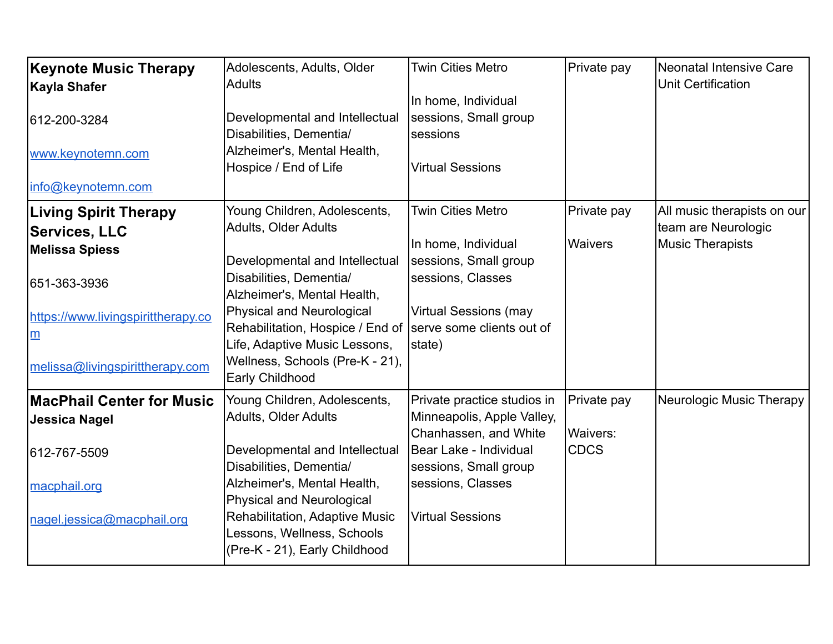| <b>Keynote Music Therapy</b><br><b>Kayla Shafer</b><br>612-200-3284                                                                                                   | Adolescents, Adults, Older<br><b>Adults</b><br>Developmental and Intellectual                                                                                                                                                                                                                                                             | <b>Twin Cities Metro</b><br>In home, Individual<br>sessions, Small group                                                                                                              | Private pay                            | <b>Neonatal Intensive Care</b><br><b>Unit Certification</b>                   |
|-----------------------------------------------------------------------------------------------------------------------------------------------------------------------|-------------------------------------------------------------------------------------------------------------------------------------------------------------------------------------------------------------------------------------------------------------------------------------------------------------------------------------------|---------------------------------------------------------------------------------------------------------------------------------------------------------------------------------------|----------------------------------------|-------------------------------------------------------------------------------|
| www.keynotemn.com<br>info@keynotemn.com                                                                                                                               | Disabilities, Dementia/<br>Alzheimer's, Mental Health,<br>Hospice / End of Life                                                                                                                                                                                                                                                           | sessions<br><b>Virtual Sessions</b>                                                                                                                                                   |                                        |                                                                               |
| <b>Living Spirit Therapy</b><br><b>Services, LLC</b><br>Melissa Spiess<br> 651-363-3936<br>https://www.livingspirittherapy.co<br>m<br>melissa@livingspirittherapy.com | Young Children, Adolescents,<br><b>Adults, Older Adults</b><br>Developmental and Intellectual<br>Disabilities, Dementia/<br>Alzheimer's, Mental Health,<br>Physical and Neurological<br>Rehabilitation, Hospice / End of Serve some clients out of<br>Life, Adaptive Music Lessons,<br>Wellness, Schools (Pre-K - 21),<br>Early Childhood | <b>Twin Cities Metro</b><br>In home, Individual<br>sessions, Small group<br>sessions, Classes<br><b>Virtual Sessions (may</b><br>state)                                               | Private pay<br>Waivers                 | All music therapists on our<br>team are Neurologic<br><b>Music Therapists</b> |
| <b>MacPhail Center for Music</b><br><b>Jessica Nagel</b><br>612-767-5509<br>macphail.org<br>nagel.jessica@macphail.org                                                | Young Children, Adolescents,<br><b>Adults, Older Adults</b><br>Developmental and Intellectual<br>Disabilities, Dementia/<br>Alzheimer's, Mental Health,<br>Physical and Neurological<br>Rehabilitation, Adaptive Music<br>Lessons, Wellness, Schools<br>(Pre-K - 21), Early Childhood                                                     | Private practice studios in<br>Minneapolis, Apple Valley,<br>Chanhassen, and White<br>Bear Lake - Individual<br>sessions, Small group<br>sessions, Classes<br><b>Virtual Sessions</b> | Private pay<br>Waivers:<br><b>CDCS</b> | Neurologic Music Therapy                                                      |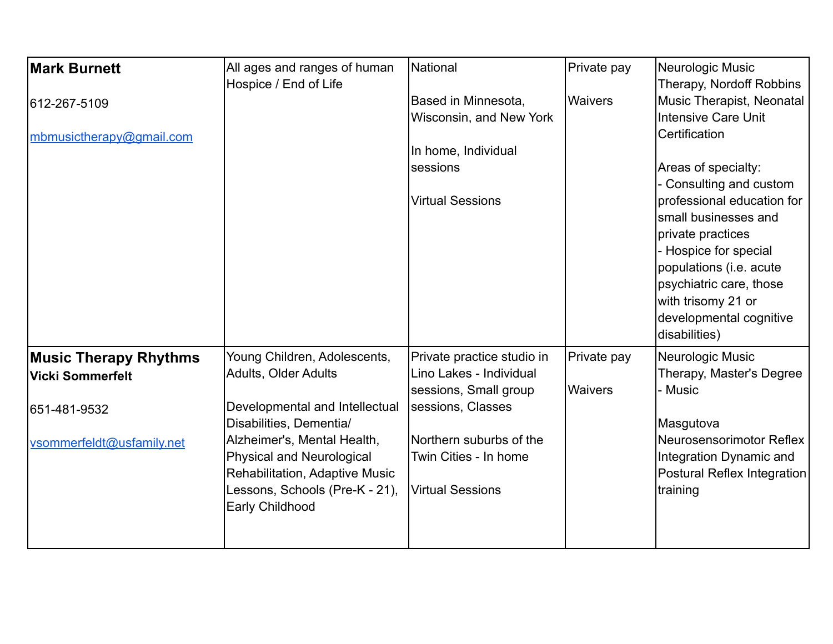| <b>Mark Burnett</b>          | All ages and ranges of human<br>Hospice / End of Life | National                   | Private pay    | Neurologic Music<br>Therapy, Nordoff Robbins |
|------------------------------|-------------------------------------------------------|----------------------------|----------------|----------------------------------------------|
| 612-267-5109                 |                                                       | Based in Minnesota,        | <b>Waivers</b> | Music Therapist, Neonatal                    |
|                              |                                                       | Wisconsin, and New York    |                | <b>Intensive Care Unit</b>                   |
| mbmusictherapy@gmail.com     |                                                       |                            |                | Certification                                |
|                              |                                                       | In home, Individual        |                |                                              |
|                              |                                                       | sessions                   |                | Areas of specialty:                          |
|                              |                                                       |                            |                | Consulting and custom                        |
|                              |                                                       | <b>Virtual Sessions</b>    |                | professional education for                   |
|                              |                                                       |                            |                | Ismall businesses and                        |
|                              |                                                       |                            |                | private practices<br>- Hospice for special   |
|                              |                                                       |                            |                | populations (i.e. acute                      |
|                              |                                                       |                            |                | psychiatric care, those                      |
|                              |                                                       |                            |                | with trisomy 21 or                           |
|                              |                                                       |                            |                | developmental cognitive                      |
|                              |                                                       |                            |                | disabilities)                                |
| <b>Music Therapy Rhythms</b> | Young Children, Adolescents,                          | Private practice studio in | Private pay    | Neurologic Music                             |
| Vicki Sommerfelt             | <b>Adults, Older Adults</b>                           | Lino Lakes - Individual    |                | Therapy, Master's Degree                     |
|                              |                                                       | sessions, Small group      | <b>Waivers</b> | <b>Music</b>                                 |
| 651-481-9532                 | Developmental and Intellectual                        | sessions, Classes          |                |                                              |
|                              | Disabilities, Dementia/                               |                            |                | Masgutova                                    |
| vsommerfeldt@usfamily.net    | Alzheimer's, Mental Health,                           | Northern suburbs of the    |                | Neurosensorimotor Reflex                     |
|                              | Physical and Neurological                             | Twin Cities - In home      |                | Integration Dynamic and                      |
|                              | Rehabilitation, Adaptive Music                        |                            |                | Postural Reflex Integration                  |
|                              | Lessons, Schools (Pre-K - 21),<br>Early Childhood     | <b>Virtual Sessions</b>    |                | training                                     |
|                              |                                                       |                            |                |                                              |
|                              |                                                       |                            |                |                                              |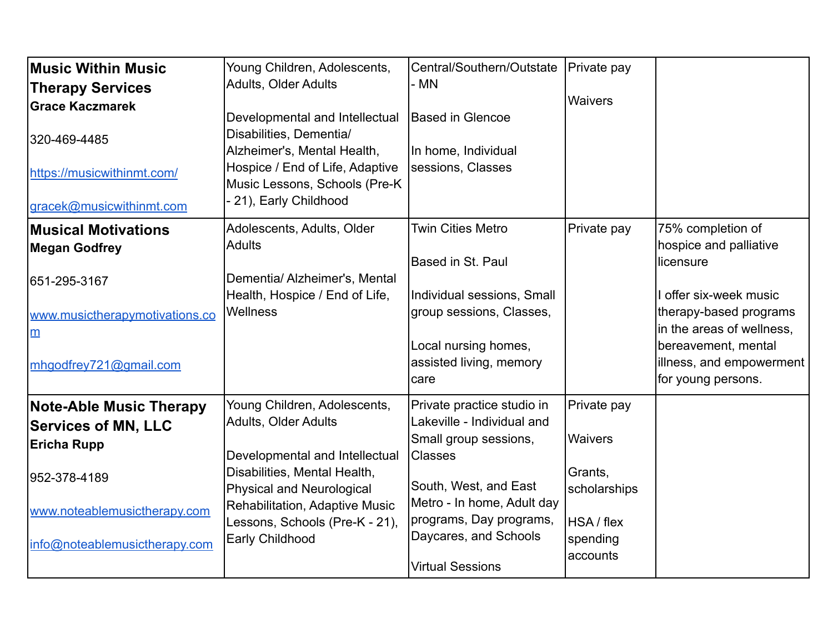| Music Within Music<br><b>Therapy Services</b><br><b>Grace Kaczmarek</b><br>320-469-4485<br>https://musicwithinmt.com/<br>gracek@musicwithinmt.com                   | Young Children, Adolescents,<br>Adults, Older Adults<br>Developmental and Intellectual<br>Disabilities, Dementia/<br>Alzheimer's, Mental Health,<br>Hospice / End of Life, Adaptive<br>Music Lessons, Schools (Pre-K<br>21), Early Childhood                    | Central/Southern/Outstate<br>- MN<br>Based in Glencoe<br>In home, Individual<br>sessions, Classes                                                                                                                                         | Private pay<br><b>Waivers</b>                                                                  |                                                                                                                                                                                                                    |
|---------------------------------------------------------------------------------------------------------------------------------------------------------------------|-----------------------------------------------------------------------------------------------------------------------------------------------------------------------------------------------------------------------------------------------------------------|-------------------------------------------------------------------------------------------------------------------------------------------------------------------------------------------------------------------------------------------|------------------------------------------------------------------------------------------------|--------------------------------------------------------------------------------------------------------------------------------------------------------------------------------------------------------------------|
| <b>Musical Motivations</b><br><b>Megan Godfrey</b><br>651-295-3167<br>www.musictherapymotivations.co<br>$\underline{m}$<br>mhgodfrey721@gmail.com                   | Adolescents, Adults, Older<br><b>Adults</b><br>Dementia/ Alzheimer's, Mental<br>Health, Hospice / End of Life,<br><b>Wellness</b>                                                                                                                               | <b>Twin Cities Metro</b><br><b>Based in St. Paul</b><br>Individual sessions, Small<br>group sessions, Classes,<br>Local nursing homes,<br>assisted living, memory<br>care                                                                 | Private pay                                                                                    | 75% completion of<br>hospice and palliative<br>licensure<br>I offer six-week music<br>therapy-based programs<br>in the areas of wellness,<br>bereavement, mental<br>illness, and empowerment<br>for young persons. |
| <b>Note-Able Music Therapy</b><br><b>Services of MN, LLC</b><br><b>Ericha Rupp</b><br>952-378-4189<br>www.noteablemusictherapy.com<br>info@noteablemusictherapy.com | Young Children, Adolescents,<br><b>Adults, Older Adults</b><br>Developmental and Intellectual<br>Disabilities, Mental Health,<br><b>Physical and Neurological</b><br>Rehabilitation, Adaptive Music<br>Lessons, Schools (Pre-K - 21),<br><b>Early Childhood</b> | Private practice studio in<br>Lakeville - Individual and<br>Small group sessions,<br><b>Classes</b><br>South, West, and East<br>Metro - In home, Adult day<br>programs, Day programs,<br>Daycares, and Schools<br><b>Virtual Sessions</b> | Private pay<br><b>Waivers</b><br>Grants,<br>scholarships<br>HSA / flex<br>spending<br>accounts |                                                                                                                                                                                                                    |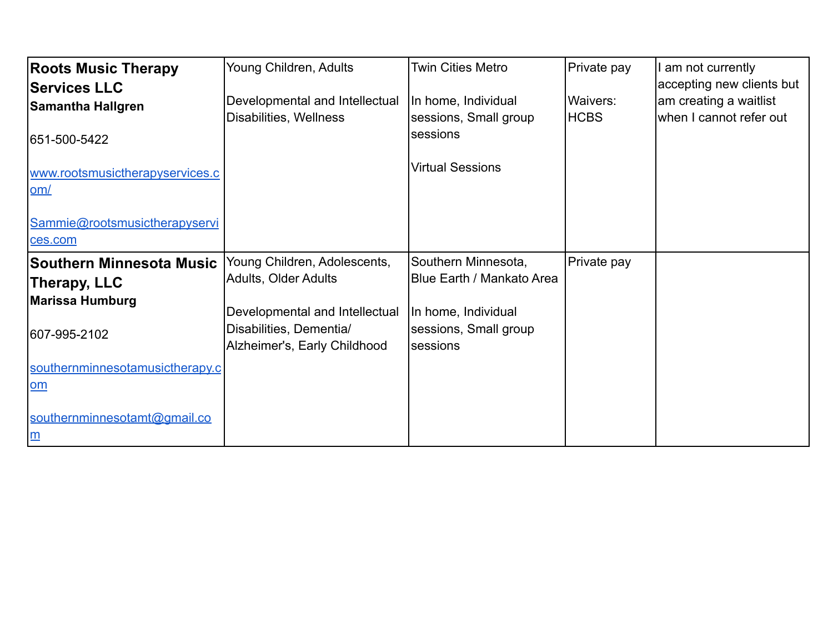| <b>Roots Music Therapy</b>               | Young Children, Adults                                    | <b>Twin Cities Metro</b>                     | Private pay | am not currently          |
|------------------------------------------|-----------------------------------------------------------|----------------------------------------------|-------------|---------------------------|
| <b>Services LLC</b>                      |                                                           |                                              |             | accepting new clients but |
| <b>Samantha Hallgren</b>                 | Developmental and Intellectual                            | In home, Individual                          | Waivers:    | am creating a waitlist    |
| 651-500-5422                             | Disabilities, Wellness                                    | sessions, Small group<br>sessions            | <b>HCBS</b> | when I cannot refer out   |
| www.rootsmusictherapyservices.c<br>om/   |                                                           | <b>Virtual Sessions</b>                      |             |                           |
| Sammie@rootsmusictherapyservi<br>ces.com |                                                           |                                              |             |                           |
| <b>Southern Minnesota Music</b>          | Young Children, Adolescents,                              | Southern Minnesota,                          | Private pay |                           |
| Therapy, LLC                             | Adults, Older Adults                                      | <b>Blue Earth / Mankato Area</b>             |             |                           |
| <b>Marissa Humburg</b>                   |                                                           |                                              |             |                           |
| 607-995-2102                             | Developmental and Intellectual<br>Disabilities, Dementia/ | In home, Individual<br>sessions, Small group |             |                           |
|                                          | Alzheimer's, Early Childhood                              | sessions                                     |             |                           |
| southernminnesotamusictherapy.c          |                                                           |                                              |             |                           |
| om                                       |                                                           |                                              |             |                           |
| southernminnesotamt@gmail.co<br>m        |                                                           |                                              |             |                           |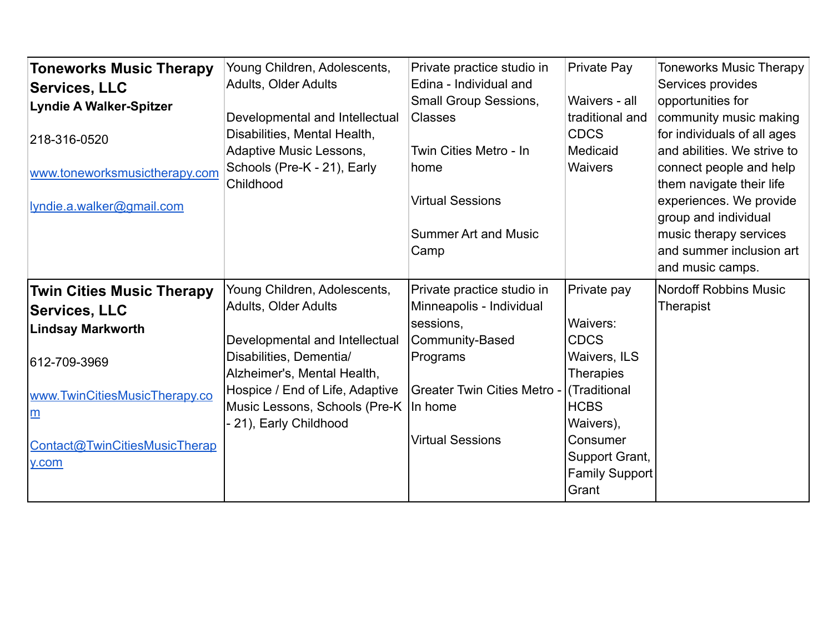| <b>Toneworks Music Therapy</b>   | Young Children, Adolescents,             | Private practice studio in         | Private Pay                    | <b>Toneworks Music Therapy</b>                      |
|----------------------------------|------------------------------------------|------------------------------------|--------------------------------|-----------------------------------------------------|
| <b>Services, LLC</b>             | Adults, Older Adults                     | Edina - Individual and             |                                | Services provides                                   |
| <b>Lyndie A Walker-Spitzer</b>   |                                          | Small Group Sessions,              | Waivers - all                  | opportunities for                                   |
|                                  | Developmental and Intellectual           | <b>Classes</b>                     | traditional and                | community music making                              |
| 218-316-0520                     | Disabilities, Mental Health,             |                                    | <b>CDCS</b>                    | for individuals of all ages                         |
|                                  | Adaptive Music Lessons,                  | Twin Cities Metro - In             | Medicaid                       | and abilities. We strive to                         |
| www.toneworksmusictherapy.com    | Schools (Pre-K - 21), Early<br>Childhood | home                               | Waivers                        | connect people and help<br>them navigate their life |
| Ivndie.a.walker@gmail.com        |                                          | <b>Virtual Sessions</b>            |                                | experiences. We provide                             |
|                                  |                                          |                                    |                                | group and individual                                |
|                                  |                                          | <b>Summer Art and Music</b>        |                                | music therapy services                              |
|                                  |                                          | Camp                               |                                | and summer inclusion art                            |
|                                  |                                          |                                    |                                | and music camps.                                    |
| <b>Twin Cities Music Therapy</b> | Young Children, Adolescents,             | Private practice studio in         | Private pay                    | <b>Nordoff Robbins Music</b>                        |
|                                  |                                          |                                    |                                |                                                     |
|                                  | Adults, Older Adults                     | Minneapolis - Individual           |                                | Therapist                                           |
| <b>Services, LLC</b>             |                                          | sessions,                          | Waivers:                       |                                                     |
| <b>Lindsay Markworth</b>         | Developmental and Intellectual           | Community-Based                    | <b>CDCS</b>                    |                                                     |
| 612-709-3969                     | Disabilities, Dementia/                  | Programs                           | <b>Waivers, ILS</b>            |                                                     |
|                                  | Alzheimer's, Mental Health,              |                                    | <b>Therapies</b>               |                                                     |
| www.TwinCitiesMusicTherapy.co    | Hospice / End of Life, Adaptive          | <b>Greater Twin Cities Metro -</b> | (Traditional                   |                                                     |
| m                                | Music Lessons, Schools (Pre-K)           | In home                            | <b>HCBS</b>                    |                                                     |
|                                  | - 21), Early Childhood                   |                                    | Waivers),                      |                                                     |
| Contact@TwinCitiesMusicTherap    |                                          | <b>Virtual Sessions</b>            | Consumer                       |                                                     |
| y.com                            |                                          |                                    | Support Grant,                 |                                                     |
|                                  |                                          |                                    | <b>Family Support</b><br>Grant |                                                     |